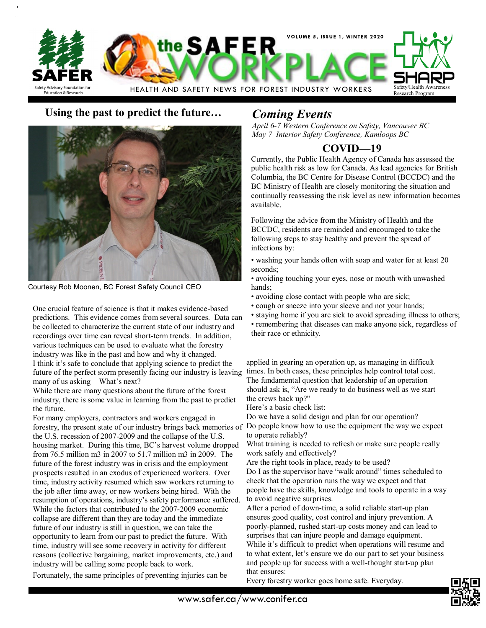

## **Using the past to predict the future…** *Coming Events*



Courtesy Rob Moonen, BC Forest Safety Council CEO

One crucial feature of science is that it makes evidence-based predictions. This evidence comes from several sources. Data can be collected to characterize the current state of our industry and recordings over time can reveal short-term trends. In addition, various techniques can be used to evaluate what the forestry industry was like in the past and how and why it changed. I think it's safe to conclude that applying science to predict the future of the perfect storm presently facing our industry is leaving many of us asking – What's next?

While there are many questions about the future of the forest industry, there is some value in learning from the past to predict the future.

For many employers, contractors and workers engaged in forestry, the present state of our industry brings back memories of the U.S. recession of 2007-2009 and the collapse of the U.S. housing market. During this time, BC's harvest volume dropped from 76.5 million m3 in 2007 to 51.7 million m3 in 2009. The future of the forest industry was in crisis and the employment prospects resulted in an exodus of experienced workers. Over time, industry activity resumed which saw workers returning to the job after time away, or new workers being hired. With the resumption of operations, industry's safety performance suffered. While the factors that contributed to the 2007-2009 economic collapse are different than they are today and the immediate future of our industry is still in question, we can take the opportunity to learn from our past to predict the future. With time, industry will see some recovery in activity for different reasons (collective bargaining, market improvements, etc.) and industry will be calling some people back to work.

Fortunately, the same principles of preventing injuries can be

*April 6-7 Western Conference on Safety, Vancouver BC May 7 Interior Safety Conference, Kamloops BC*

# **COVID—19**

Currently, the Public Health Agency of Canada has assessed the public health risk as low for Canada. As lead agencies for British Columbia, the BC Centre for Disease Control (BCCDC) and the BC Ministry of Health are closely monitoring the situation and continually reassessing the risk level as new information becomes available.

Following the advice from the Ministry of Health and the BCCDC, residents are reminded and encouraged to take the following steps to stay healthy and prevent the spread of infections by:

- washing your hands often with soap and water for at least 20 seconds;
- avoiding touching your eyes, nose or mouth with unwashed hands;
- avoiding close contact with people who are sick;
- cough or sneeze into your sleeve and not your hands;
- staying home if you are sick to avoid spreading illness to others; • remembering that diseases can make anyone sick, regardless of their race or ethnicity.

applied in gearing an operation up, as managing in difficult times. In both cases, these principles help control total cost. The fundamental question that leadership of an operation should ask is, "Are we ready to do business well as we start the crews back up?"

Here's a basic check list:

Do we have a solid design and plan for our operation? Do people know how to use the equipment the way we expect

to operate reliably? What training is needed to refresh or make sure people really work safely and effectively?

Are the right tools in place, ready to be used?

Do I as the supervisor have "walk around" times scheduled to check that the operation runs the way we expect and that people have the skills, knowledge and tools to operate in a way to avoid negative surprises.

After a period of down-time, a solid reliable start-up plan ensures good quality, cost control and injury prevention. A poorly-planned, rushed start-up costs money and can lead to surprises that can injure people and damage equipment. While it's difficult to predict when operations will resume and to what extent, let's ensure we do our part to set your business and people up for success with a well-thought start-up plan that ensures:

Every forestry worker goes home safe. Everyday.